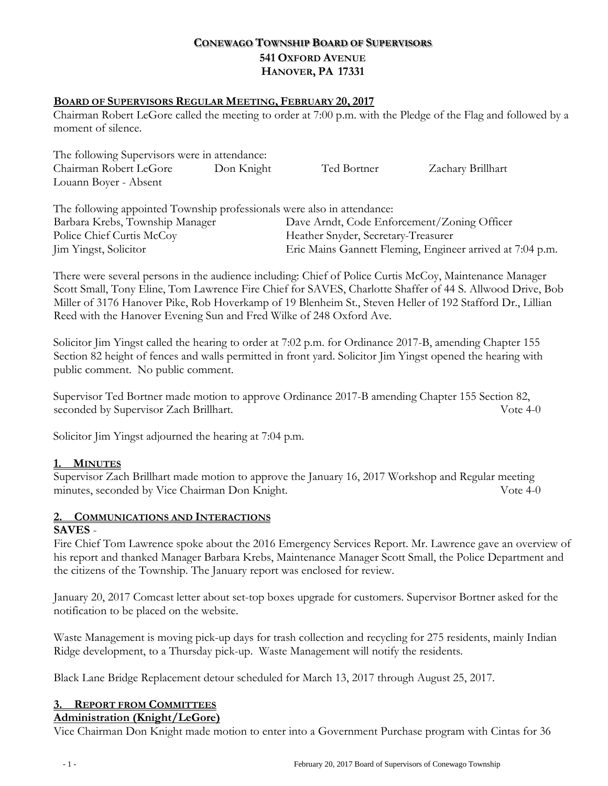## **CONEWAGO TOWNSHIP BOARD OF SUPERVISORS 541 OXFORD AVENUE HANOVER, PA 17331**

## **BOARD OF SUPERVISORS REGULAR MEETING, FEBRUARY 20, 2017**

Chairman Robert LeGore called the meeting to order at 7:00 p.m. with the Pledge of the Flag and followed by a moment of silence.

| The following Supervisors were in attendance: |            |             |                   |
|-----------------------------------------------|------------|-------------|-------------------|
| Chairman Robert LeGore                        | Don Knight | Ted Bortner | Zachary Brillhart |
| Louann Boyer - Absent                         |            |             |                   |
|                                               |            |             |                   |

| The following appointed Township professionals were also in attendance: |                                                           |
|-------------------------------------------------------------------------|-----------------------------------------------------------|
| Barbara Krebs, Township Manager                                         | Dave Arndt, Code Enforcement/Zoning Officer               |
| Police Chief Curtis McCoy                                               | Heather Snyder, Secretary-Treasurer                       |
| Jim Yingst, Solicitor                                                   | Eric Mains Gannett Fleming, Engineer arrived at 7:04 p.m. |

There were several persons in the audience including: Chief of Police Curtis McCoy, Maintenance Manager Scott Small, Tony Eline, Tom Lawrence Fire Chief for SAVES, Charlotte Shaffer of 44 S. Allwood Drive, Bob Miller of 3176 Hanover Pike, Rob Hoverkamp of 19 Blenheim St., Steven Heller of 192 Stafford Dr., Lillian Reed with the Hanover Evening Sun and Fred Wilke of 248 Oxford Ave.

Solicitor Jim Yingst called the hearing to order at 7:02 p.m. for Ordinance 2017-B, amending Chapter 155 Section 82 height of fences and walls permitted in front yard. Solicitor Jim Yingst opened the hearing with public comment. No public comment.

Supervisor Ted Bortner made motion to approve Ordinance 2017-B amending Chapter 155 Section 82, seconded by Supervisor Zach Brillhart. Vote 4-0

Solicitor Jim Yingst adjourned the hearing at 7:04 p.m.

## **1. MINUTES**

Supervisor Zach Brillhart made motion to approve the January 16, 2017 Workshop and Regular meeting minutes, seconded by Vice Chairman Don Knight. Vote 4-0

# **2. COMMUNICATIONS AND INTERACTIONS**

## **SAVES** -

Fire Chief Tom Lawrence spoke about the 2016 Emergency Services Report. Mr. Lawrence gave an overview of his report and thanked Manager Barbara Krebs, Maintenance Manager Scott Small, the Police Department and the citizens of the Township. The January report was enclosed for review.

January 20, 2017 Comcast letter about set-top boxes upgrade for customers. Supervisor Bortner asked for the notification to be placed on the website.

Waste Management is moving pick-up days for trash collection and recycling for 275 residents, mainly Indian Ridge development, to a Thursday pick-up. Waste Management will notify the residents.

Black Lane Bridge Replacement detour scheduled for March 13, 2017 through August 25, 2017.

## **3. REPORT FROM COMMITTEES**

## **Administration (Knight/LeGore)**

Vice Chairman Don Knight made motion to enter into a Government Purchase program with Cintas for 36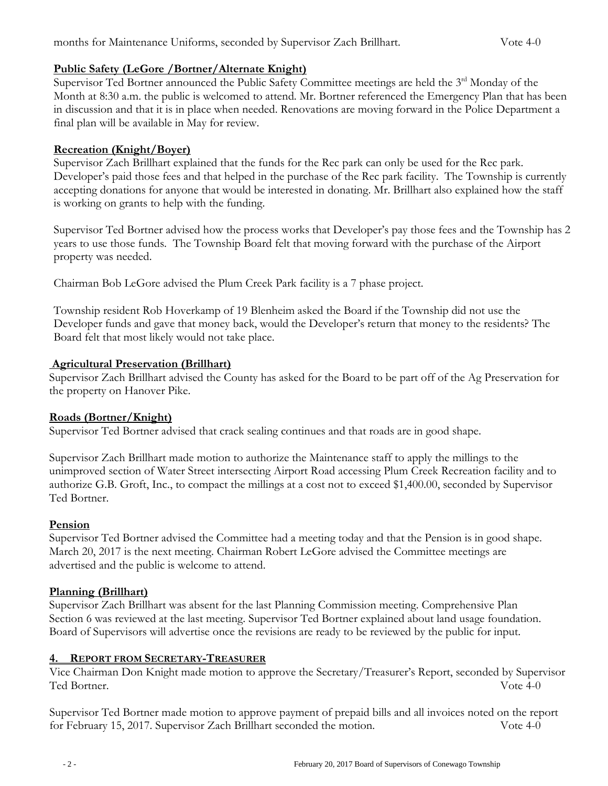## **Public Safety (LeGore /Bortner/Alternate Knight)**

Supervisor Ted Bortner announced the Public Safety Committee meetings are held the 3<sup>rd</sup> Monday of the Month at 8:30 a.m. the public is welcomed to attend. Mr. Bortner referenced the Emergency Plan that has been in discussion and that it is in place when needed. Renovations are moving forward in the Police Department a final plan will be available in May for review.

## **Recreation (Knight/Boyer)**

Supervisor Zach Brillhart explained that the funds for the Rec park can only be used for the Rec park. Developer's paid those fees and that helped in the purchase of the Rec park facility. The Township is currently accepting donations for anyone that would be interested in donating. Mr. Brillhart also explained how the staff is working on grants to help with the funding.

Supervisor Ted Bortner advised how the process works that Developer's pay those fees and the Township has 2 years to use those funds. The Township Board felt that moving forward with the purchase of the Airport property was needed.

Chairman Bob LeGore advised the Plum Creek Park facility is a 7 phase project.

Township resident Rob Hoverkamp of 19 Blenheim asked the Board if the Township did not use the Developer funds and gave that money back, would the Developer's return that money to the residents? The Board felt that most likely would not take place.

## **Agricultural Preservation (Brillhart)**

Supervisor Zach Brillhart advised the County has asked for the Board to be part off of the Ag Preservation for the property on Hanover Pike.

## **Roads (Bortner/Knight)**

Supervisor Ted Bortner advised that crack sealing continues and that roads are in good shape.

Supervisor Zach Brillhart made motion to authorize the Maintenance staff to apply the millings to the unimproved section of Water Street intersecting Airport Road accessing Plum Creek Recreation facility and to authorize G.B. Groft, Inc., to compact the millings at a cost not to exceed \$1,400.00, seconded by Supervisor Ted Bortner.

## **Pension**

Supervisor Ted Bortner advised the Committee had a meeting today and that the Pension is in good shape. March 20, 2017 is the next meeting. Chairman Robert LeGore advised the Committee meetings are advertised and the public is welcome to attend.

## **Planning (Brillhart)**

Supervisor Zach Brillhart was absent for the last Planning Commission meeting. Comprehensive Plan Section 6 was reviewed at the last meeting. Supervisor Ted Bortner explained about land usage foundation. Board of Supervisors will advertise once the revisions are ready to be reviewed by the public for input.

## **4. REPORT FROM SECRETARY-TREASURER**

Vice Chairman Don Knight made motion to approve the Secretary/Treasurer's Report, seconded by Supervisor Ted Bortner. Vote 4-0

Supervisor Ted Bortner made motion to approve payment of prepaid bills and all invoices noted on the report for February 15, 2017. Supervisor Zach Brillhart seconded the motion. Vote 4-0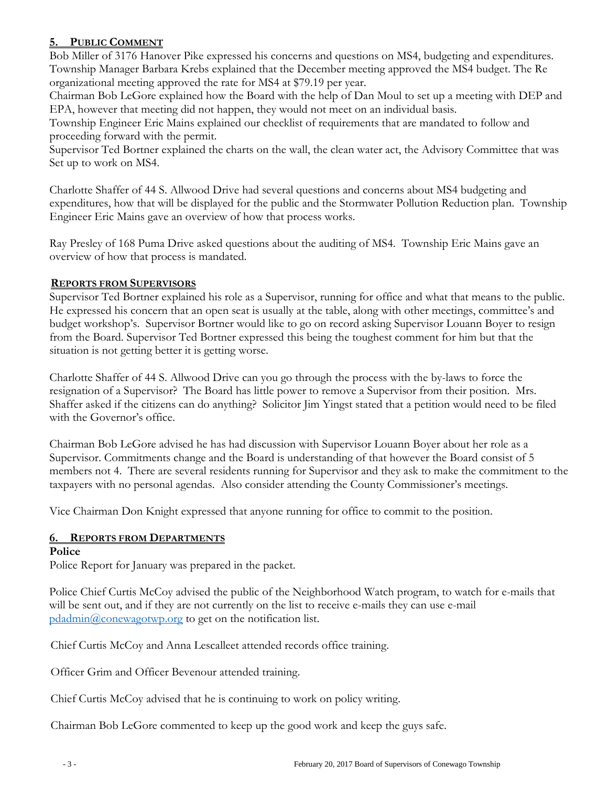## **5. PUBLIC COMMENT**

Bob Miller of 3176 Hanover Pike expressed his concerns and questions on MS4, budgeting and expenditures. Township Manager Barbara Krebs explained that the December meeting approved the MS4 budget. The Re organizational meeting approved the rate for MS4 at \$79.19 per year.

Chairman Bob LeGore explained how the Board with the help of Dan Moul to set up a meeting with DEP and EPA, however that meeting did not happen, they would not meet on an individual basis.

Township Engineer Eric Mains explained our checklist of requirements that are mandated to follow and proceeding forward with the permit.

Supervisor Ted Bortner explained the charts on the wall, the clean water act, the Advisory Committee that was Set up to work on MS4.

Charlotte Shaffer of 44 S. Allwood Drive had several questions and concerns about MS4 budgeting and expenditures, how that will be displayed for the public and the Stormwater Pollution Reduction plan. Township Engineer Eric Mains gave an overview of how that process works.

Ray Presley of 168 Puma Drive asked questions about the auditing of MS4. Township Eric Mains gave an overview of how that process is mandated.

## **REPORTS FROM SUPERVISORS**

Supervisor Ted Bortner explained his role as a Supervisor, running for office and what that means to the public. He expressed his concern that an open seat is usually at the table, along with other meetings, committee's and budget workshop's. Supervisor Bortner would like to go on record asking Supervisor Louann Boyer to resign from the Board. Supervisor Ted Bortner expressed this being the toughest comment for him but that the situation is not getting better it is getting worse.

Charlotte Shaffer of 44 S. Allwood Drive can you go through the process with the by-laws to force the resignation of a Supervisor? The Board has little power to remove a Supervisor from their position. Mrs. Shaffer asked if the citizens can do anything? Solicitor Jim Yingst stated that a petition would need to be filed with the Governor's office.

Chairman Bob LeGore advised he has had discussion with Supervisor Louann Boyer about her role as a Supervisor. Commitments change and the Board is understanding of that however the Board consist of 5 members not 4. There are several residents running for Supervisor and they ask to make the commitment to the taxpayers with no personal agendas. Also consider attending the County Commissioner's meetings.

Vice Chairman Don Knight expressed that anyone running for office to commit to the position.

## **6. REPORTS FROM DEPARTMENTS**

## **Police**

Police Report for January was prepared in the packet.

Police Chief Curtis McCoy advised the public of the Neighborhood Watch program, to watch for e-mails that will be sent out, and if they are not currently on the list to receive e-mails they can use e-mail [pdadmin@conewagotwp.org](mailto:pdadmin@conewagotwp.org) to get on the notification list.

Chief Curtis McCoy and Anna Lescalleet attended records office training.

Officer Grim and Officer Bevenour attended training.

Chief Curtis McCoy advised that he is continuing to work on policy writing.

Chairman Bob LeGore commented to keep up the good work and keep the guys safe.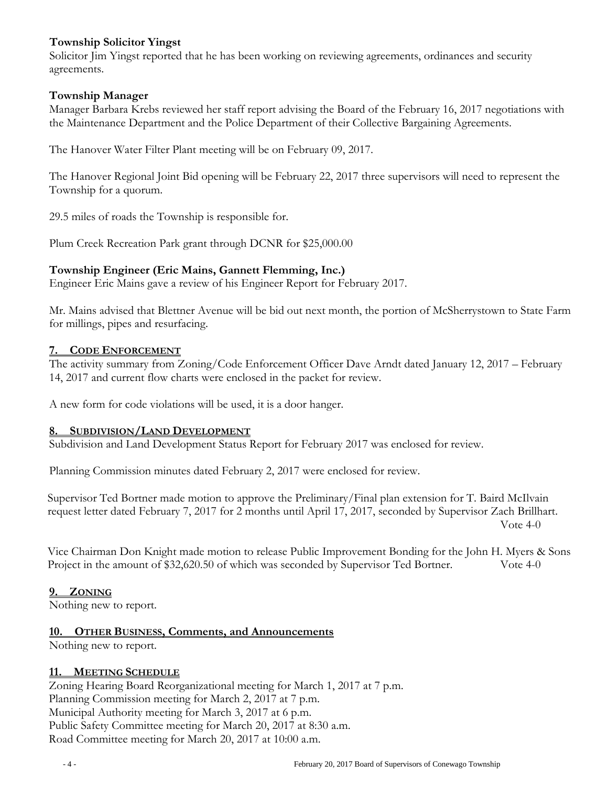## **Township Solicitor Yingst**

Solicitor Jim Yingst reported that he has been working on reviewing agreements, ordinances and security agreements.

## **Township Manager**

Manager Barbara Krebs reviewed her staff report advising the Board of the February 16, 2017 negotiations with the Maintenance Department and the Police Department of their Collective Bargaining Agreements.

The Hanover Water Filter Plant meeting will be on February 09, 2017.

The Hanover Regional Joint Bid opening will be February 22, 2017 three supervisors will need to represent the Township for a quorum.

29.5 miles of roads the Township is responsible for.

Plum Creek Recreation Park grant through DCNR for \$25,000.00

## **Township Engineer (Eric Mains, Gannett Flemming, Inc.)**

Engineer Eric Mains gave a review of his Engineer Report for February 2017.

Mr. Mains advised that Blettner Avenue will be bid out next month, the portion of McSherrystown to State Farm for millings, pipes and resurfacing.

## **7. CODE ENFORCEMENT**

The activity summary from Zoning/Code Enforcement Officer Dave Arndt dated January 12, 2017 – February 14, 2017 and current flow charts were enclosed in the packet for review.

A new form for code violations will be used, it is a door hanger.

## **8. SUBDIVISION/LAND DEVELOPMENT**

Subdivision and Land Development Status Report for February 2017 was enclosed for review.

Planning Commission minutes dated February 2, 2017 were enclosed for review.

Supervisor Ted Bortner made motion to approve the Preliminary/Final plan extension for T. Baird McIlvain request letter dated February 7, 2017 for 2 months until April 17, 2017, seconded by Supervisor Zach Brillhart. Vote 4-0

Vice Chairman Don Knight made motion to release Public Improvement Bonding for the John H. Myers & Sons Project in the amount of \$32,620.50 of which was seconded by Supervisor Ted Bortner. Vote 4-0

## **9. ZONING**

Nothing new to report.

## **10. OTHER BUSINESS, Comments, and Announcements**

Nothing new to report.

## **11. MEETING SCHEDULE**

Zoning Hearing Board Reorganizational meeting for March 1, 2017 at 7 p.m. Planning Commission meeting for March 2, 2017 at 7 p.m. Municipal Authority meeting for March 3, 2017 at 6 p.m. Public Safety Committee meeting for March 20, 2017 at 8:30 a.m. Road Committee meeting for March 20, 2017 at 10:00 a.m.